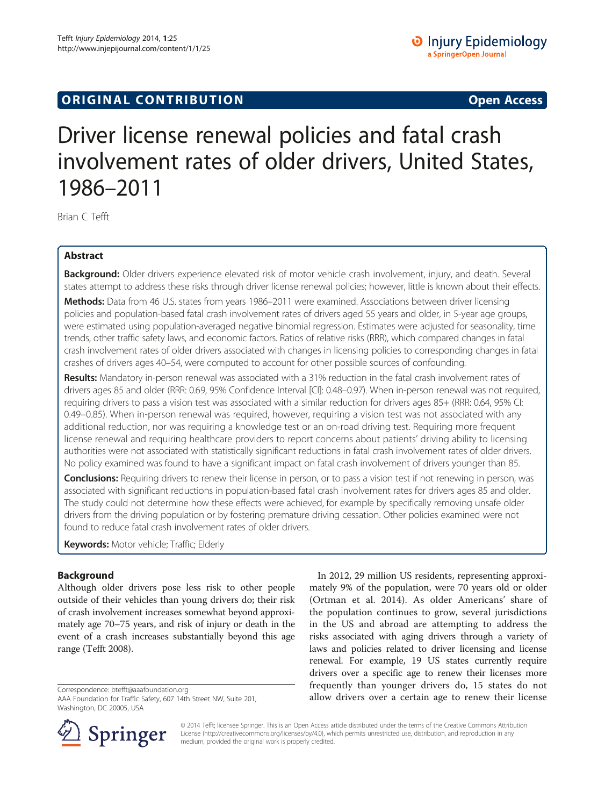## **ORIGINAL CONTRIBUTION CONSIDERING ACCESS**

# Driver license renewal policies and fatal crash involvement rates of older drivers, United States, 1986–2011

Brian C Tefft

## Abstract

Background: Older drivers experience elevated risk of motor vehicle crash involvement, injury, and death. Several states attempt to address these risks through driver license renewal policies; however, little is known about their effects.

Methods: Data from 46 U.S. states from years 1986–2011 were examined. Associations between driver licensing policies and population-based fatal crash involvement rates of drivers aged 55 years and older, in 5-year age groups, were estimated using population-averaged negative binomial regression. Estimates were adjusted for seasonality, time trends, other traffic safety laws, and economic factors. Ratios of relative risks (RRR), which compared changes in fatal crash involvement rates of older drivers associated with changes in licensing policies to corresponding changes in fatal crashes of drivers ages 40–54, were computed to account for other possible sources of confounding.

Results: Mandatory in-person renewal was associated with a 31% reduction in the fatal crash involvement rates of drivers ages 85 and older (RRR: 0.69, 95% Confidence Interval [CI]: 0.48–0.97). When in-person renewal was not required, requiring drivers to pass a vision test was associated with a similar reduction for drivers ages 85+ (RRR: 0.64, 95% CI: 0.49–0.85). When in-person renewal was required, however, requiring a vision test was not associated with any additional reduction, nor was requiring a knowledge test or an on-road driving test. Requiring more frequent license renewal and requiring healthcare providers to report concerns about patients' driving ability to licensing authorities were not associated with statistically significant reductions in fatal crash involvement rates of older drivers. No policy examined was found to have a significant impact on fatal crash involvement of drivers younger than 85.

Conclusions: Requiring drivers to renew their license in person, or to pass a vision test if not renewing in person, was associated with significant reductions in population-based fatal crash involvement rates for drivers ages 85 and older. The study could not determine how these effects were achieved, for example by specifically removing unsafe older drivers from the driving population or by fostering premature driving cessation. Other policies examined were not found to reduce fatal crash involvement rates of older drivers.

**Keywords:** Motor vehicle; Traffic; Elderly

## Background

Although older drivers pose less risk to other people outside of their vehicles than young drivers do; their risk of crash involvement increases somewhat beyond approximately age 70–75 years, and risk of injury or death in the event of a crash increases substantially beyond this age range (Tefft [2008\)](#page-10-0).

In 2012, 29 million US residents, representing approximately 9% of the population, were 70 years old or older (Ortman et al. [2014\)](#page-10-0). As older Americans' share of the population continues to grow, several jurisdictions in the US and abroad are attempting to address the risks associated with aging drivers through a variety of laws and policies related to driver licensing and license renewal. For example, 19 US states currently require drivers over a specific age to renew their licenses more frequently than younger drivers do, 15 states do not Correspondence: [btefft@aaafoundation.org](mailto:btefft@aaafoundation.org)<br>AAA Foundation for Traffic Safety, 607 14th Street NW, Suite 201, **allow drivers over a certain age to renew their license** 



© 2014 Tefft; licensee Springer. This is an Open Access article distributed under the terms of the Creative Commons Attribution License [\(http://creativecommons.org/licenses/by/4.0\)](http://creativecommons.org/licenses/by/4.0), which permits unrestricted use, distribution, and reproduction in any medium, provided the original work is properly credited.

AAA Foundation for Traffic Safety, 607 14th Street NW, Suite 201, Washington, DC 20005, USA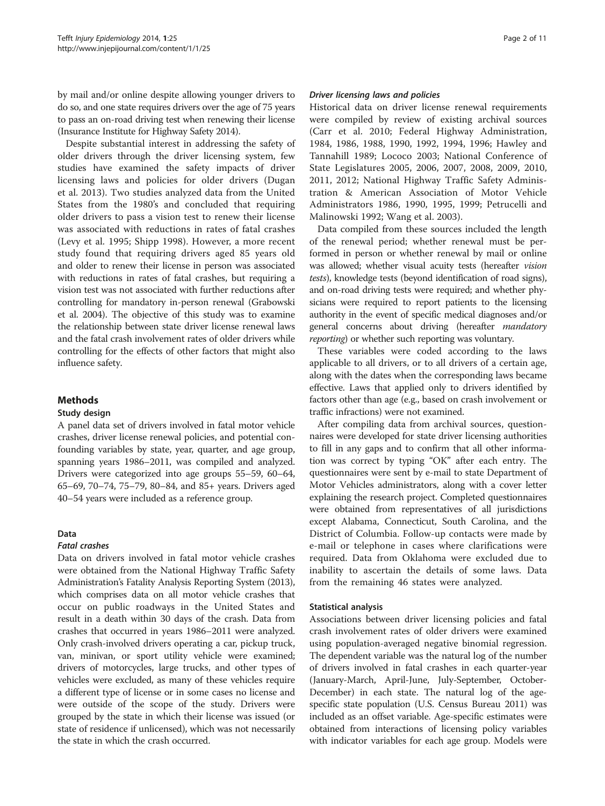by mail and/or online despite allowing younger drivers to do so, and one state requires drivers over the age of 75 years to pass an on-road driving test when renewing their license (Insurance Institute for Highway Safety [2014\)](#page-9-0).

Despite substantial interest in addressing the safety of older drivers through the driver licensing system, few studies have examined the safety impacts of driver licensing laws and policies for older drivers (Dugan et al. [2013](#page-9-0)). Two studies analyzed data from the United States from the 1980's and concluded that requiring older drivers to pass a vision test to renew their license was associated with reductions in rates of fatal crashes (Levy et al. [1995;](#page-9-0) Shipp [1998\)](#page-10-0). However, a more recent study found that requiring drivers aged 85 years old and older to renew their license in person was associated with reductions in rates of fatal crashes, but requiring a vision test was not associated with further reductions after controlling for mandatory in-person renewal (Grabowski et al. [2004\)](#page-9-0). The objective of this study was to examine the relationship between state driver license renewal laws and the fatal crash involvement rates of older drivers while controlling for the effects of other factors that might also influence safety.

### Methods

#### Study design

A panel data set of drivers involved in fatal motor vehicle crashes, driver license renewal policies, and potential confounding variables by state, year, quarter, and age group, spanning years 1986–2011, was compiled and analyzed. Drivers were categorized into age groups 55–59, 60–64, 65–69, 70–74, 75–79, 80–84, and 85+ years. Drivers aged 40–54 years were included as a reference group.

#### Data

#### Fatal crashes

Data on drivers involved in fatal motor vehicle crashes were obtained from the National Highway Traffic Safety Administration's Fatality Analysis Reporting System [\(2013](#page-10-0)), which comprises data on all motor vehicle crashes that occur on public roadways in the United States and result in a death within 30 days of the crash. Data from crashes that occurred in years 1986–2011 were analyzed. Only crash-involved drivers operating a car, pickup truck, van, minivan, or sport utility vehicle were examined; drivers of motorcycles, large trucks, and other types of vehicles were excluded, as many of these vehicles require a different type of license or in some cases no license and were outside of the scope of the study. Drivers were grouped by the state in which their license was issued (or state of residence if unlicensed), which was not necessarily the state in which the crash occurred.

#### Driver licensing laws and policies

Historical data on driver license renewal requirements were compiled by review of existing archival sources (Carr et al. [2010;](#page-9-0) Federal Highway Administration, [1984, 1986, 1988](#page-9-0), [1990, 1992, 1994](#page-9-0), [1996](#page-9-0); Hawley and Tannahill [1989;](#page-9-0) Lococo [2003;](#page-9-0) National Conference of State Legislatures [2005](#page-9-0), [2006, 2007, 2008](#page-9-0), [2009, 2010](#page-9-0), [2011,](#page-9-0) [2012](#page-10-0); National Highway Traffic Safety Administration & American Association of Motor Vehicle Administrators [1986](#page-10-0), [1990, 1995, 1999;](#page-10-0) Petrucelli and Malinowski [1992;](#page-10-0) Wang et al. [2003](#page-10-0)).

Data compiled from these sources included the length of the renewal period; whether renewal must be performed in person or whether renewal by mail or online was allowed; whether visual acuity tests (hereafter *vision* tests), knowledge tests (beyond identification of road signs), and on-road driving tests were required; and whether physicians were required to report patients to the licensing authority in the event of specific medical diagnoses and/or general concerns about driving (hereafter *mandatory* reporting) or whether such reporting was voluntary.

These variables were coded according to the laws applicable to all drivers, or to all drivers of a certain age, along with the dates when the corresponding laws became effective. Laws that applied only to drivers identified by factors other than age (e.g., based on crash involvement or traffic infractions) were not examined.

After compiling data from archival sources, questionnaires were developed for state driver licensing authorities to fill in any gaps and to confirm that all other information was correct by typing "OK" after each entry. The questionnaires were sent by e-mail to state Department of Motor Vehicles administrators, along with a cover letter explaining the research project. Completed questionnaires were obtained from representatives of all jurisdictions except Alabama, Connecticut, South Carolina, and the District of Columbia. Follow-up contacts were made by e-mail or telephone in cases where clarifications were required. Data from Oklahoma were excluded due to inability to ascertain the details of some laws. Data from the remaining 46 states were analyzed.

#### Statistical analysis

Associations between driver licensing policies and fatal crash involvement rates of older drivers were examined using population-averaged negative binomial regression. The dependent variable was the natural log of the number of drivers involved in fatal crashes in each quarter-year (January-March, April-June, July-September, October-December) in each state. The natural log of the agespecific state population (U.S. Census Bureau [2011](#page-10-0)) was included as an offset variable. Age-specific estimates were obtained from interactions of licensing policy variables with indicator variables for each age group. Models were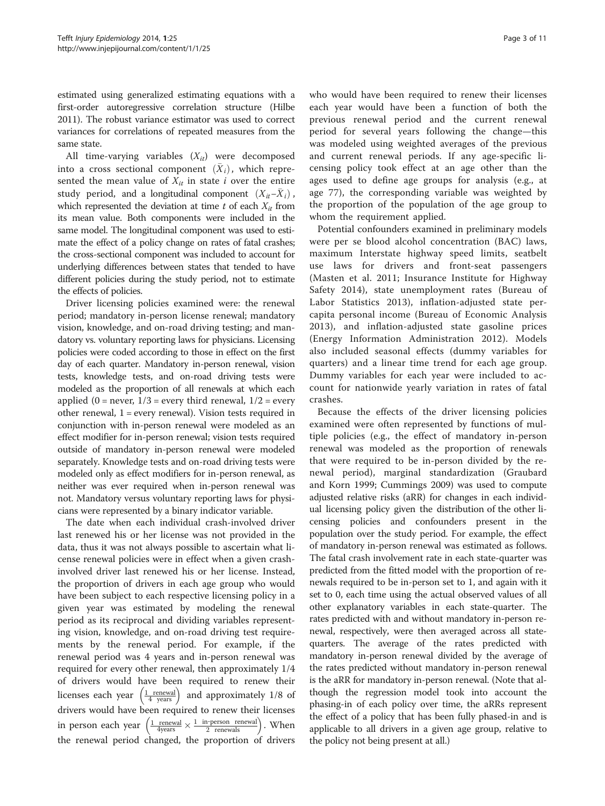estimated using generalized estimating equations with a first-order autoregressive correlation structure (Hilbe [2011\)](#page-9-0). The robust variance estimator was used to correct variances for correlations of repeated measures from the same state.

All time-varying variables  $(X_{it})$  were decomposed into a cross sectional component  $(\bar{X}_i)$ , which represented the mean value of  $X_{it}$  in state i over the entire study period, and a longitudinal component  $(X_{it}$ − $\overline{X}_i$ ), which represented the deviation at time t of each  $X_{it}$  from its mean value. Both components were included in the same model. The longitudinal component was used to estimate the effect of a policy change on rates of fatal crashes; the cross-sectional component was included to account for underlying differences between states that tended to have different policies during the study period, not to estimate the effects of policies.

Driver licensing policies examined were: the renewal period; mandatory in-person license renewal; mandatory vision, knowledge, and on-road driving testing; and mandatory vs. voluntary reporting laws for physicians. Licensing policies were coded according to those in effect on the first day of each quarter. Mandatory in-person renewal, vision tests, knowledge tests, and on-road driving tests were modeled as the proportion of all renewals at which each applied (0 = never,  $1/3$  = every third renewal,  $1/2$  = every other renewal, 1 = every renewal). Vision tests required in conjunction with in-person renewal were modeled as an effect modifier for in-person renewal; vision tests required outside of mandatory in-person renewal were modeled separately. Knowledge tests and on-road driving tests were modeled only as effect modifiers for in-person renewal, as neither was ever required when in-person renewal was not. Mandatory versus voluntary reporting laws for physicians were represented by a binary indicator variable.

The date when each individual crash-involved driver last renewed his or her license was not provided in the data, thus it was not always possible to ascertain what license renewal policies were in effect when a given crashinvolved driver last renewed his or her license. Instead, the proportion of drivers in each age group who would have been subject to each respective licensing policy in a given year was estimated by modeling the renewal period as its reciprocal and dividing variables representing vision, knowledge, and on-road driving test requirements by the renewal period. For example, if the renewal period was 4 years and in-person renewal was required for every other renewal, then approximately 1/4 of drivers would have been required to renew their licenses each year  $\left(\frac{1 \text{ renewal}}{4 \text{ years}}\right)$  and approximately 1/8 of drivers would have been required to renew their licenses in person each year  $\left(\frac{1 \text{ renewal}}{4 \text{years}} \times \frac{1 \text{ in-person renewal}}{2 \text{ renewals}}\right)$ . When the renewal period changed, the proportion of drivers

who would have been required to renew their licenses each year would have been a function of both the previous renewal period and the current renewal period for several years following the change—this was modeled using weighted averages of the previous and current renewal periods. If any age-specific licensing policy took effect at an age other than the ages used to define age groups for analysis (e.g., at age 77), the corresponding variable was weighted by the proportion of the population of the age group to whom the requirement applied.

Potential confounders examined in preliminary models were per se blood alcohol concentration (BAC) laws, maximum Interstate highway speed limits, seatbelt use laws for drivers and front-seat passengers (Masten et al. [2011](#page-9-0); Insurance Institute for Highway Safety [2014](#page-9-0)), state unemployment rates (Bureau of Labor Statistics [2013](#page-9-0)), inflation-adjusted state percapita personal income (Bureau of Economic Analysis [2013\)](#page-9-0), and inflation-adjusted state gasoline prices (Energy Information Administration [2012\)](#page-9-0). Models also included seasonal effects (dummy variables for quarters) and a linear time trend for each age group. Dummy variables for each year were included to account for nationwide yearly variation in rates of fatal crashes.

Because the effects of the driver licensing policies examined were often represented by functions of multiple policies (e.g., the effect of mandatory in-person renewal was modeled as the proportion of renewals that were required to be in-person divided by the renewal period), marginal standardization (Graubard and Korn [1999;](#page-9-0) Cummings [2009\)](#page-9-0) was used to compute adjusted relative risks (aRR) for changes in each individual licensing policy given the distribution of the other licensing policies and confounders present in the population over the study period. For example, the effect of mandatory in-person renewal was estimated as follows. The fatal crash involvement rate in each state-quarter was predicted from the fitted model with the proportion of renewals required to be in-person set to 1, and again with it set to 0, each time using the actual observed values of all other explanatory variables in each state-quarter. The rates predicted with and without mandatory in-person renewal, respectively, were then averaged across all statequarters. The average of the rates predicted with mandatory in-person renewal divided by the average of the rates predicted without mandatory in-person renewal is the aRR for mandatory in-person renewal. (Note that although the regression model took into account the phasing-in of each policy over time, the aRRs represent the effect of a policy that has been fully phased-in and is applicable to all drivers in a given age group, relative to the policy not being present at all.)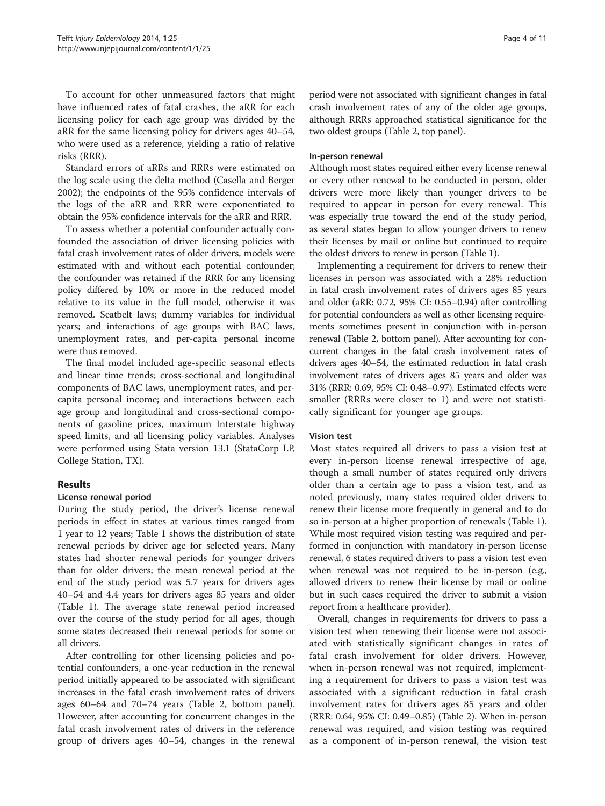To account for other unmeasured factors that might have influenced rates of fatal crashes, the aRR for each licensing policy for each age group was divided by the aRR for the same licensing policy for drivers ages 40–54, who were used as a reference, yielding a ratio of relative risks (RRR).

Standard errors of aRRs and RRRs were estimated on the log scale using the delta method (Casella and Berger [2002](#page-9-0)); the endpoints of the 95% confidence intervals of the logs of the aRR and RRR were exponentiated to obtain the 95% confidence intervals for the aRR and RRR.

To assess whether a potential confounder actually confounded the association of driver licensing policies with fatal crash involvement rates of older drivers, models were estimated with and without each potential confounder; the confounder was retained if the RRR for any licensing policy differed by 10% or more in the reduced model relative to its value in the full model, otherwise it was removed. Seatbelt laws; dummy variables for individual years; and interactions of age groups with BAC laws, unemployment rates, and per-capita personal income were thus removed.

The final model included age-specific seasonal effects and linear time trends; cross-sectional and longitudinal components of BAC laws, unemployment rates, and percapita personal income; and interactions between each age group and longitudinal and cross-sectional components of gasoline prices, maximum Interstate highway speed limits, and all licensing policy variables. Analyses were performed using Stata version 13.1 (StataCorp LP, College Station, TX).

## Results

#### License renewal period

During the study period, the driver's license renewal periods in effect in states at various times ranged from 1 year to 12 years; Table [1](#page-4-0) shows the distribution of state renewal periods by driver age for selected years. Many states had shorter renewal periods for younger drivers than for older drivers; the mean renewal period at the end of the study period was 5.7 years for drivers ages 40–54 and 4.4 years for drivers ages 85 years and older (Table [1](#page-4-0)). The average state renewal period increased over the course of the study period for all ages, though some states decreased their renewal periods for some or all drivers.

After controlling for other licensing policies and potential confounders, a one-year reduction in the renewal period initially appeared to be associated with significant increases in the fatal crash involvement rates of drivers ages 60–64 and 70–74 years (Table [2](#page-6-0), bottom panel). However, after accounting for concurrent changes in the fatal crash involvement rates of drivers in the reference group of drivers ages 40–54, changes in the renewal

period were not associated with significant changes in fatal crash involvement rates of any of the older age groups, although RRRs approached statistical significance for the two oldest groups (Table [2,](#page-6-0) top panel).

#### In-person renewal

Although most states required either every license renewal or every other renewal to be conducted in person, older drivers were more likely than younger drivers to be required to appear in person for every renewal. This was especially true toward the end of the study period, as several states began to allow younger drivers to renew their licenses by mail or online but continued to require the oldest drivers to renew in person (Table [1](#page-4-0)).

Implementing a requirement for drivers to renew their licenses in person was associated with a 28% reduction in fatal crash involvement rates of drivers ages 85 years and older (aRR: 0.72, 95% CI: 0.55–0.94) after controlling for potential confounders as well as other licensing requirements sometimes present in conjunction with in-person renewal (Table [2](#page-6-0), bottom panel). After accounting for concurrent changes in the fatal crash involvement rates of drivers ages 40–54, the estimated reduction in fatal crash involvement rates of drivers ages 85 years and older was 31% (RRR: 0.69, 95% CI: 0.48–0.97). Estimated effects were smaller (RRRs were closer to 1) and were not statistically significant for younger age groups.

#### Vision test

Most states required all drivers to pass a vision test at every in-person license renewal irrespective of age, though a small number of states required only drivers older than a certain age to pass a vision test, and as noted previously, many states required older drivers to renew their license more frequently in general and to do so in-person at a higher proportion of renewals (Table [1](#page-4-0)). While most required vision testing was required and performed in conjunction with mandatory in-person license renewal, 6 states required drivers to pass a vision test even when renewal was not required to be in-person (e.g., allowed drivers to renew their license by mail or online but in such cases required the driver to submit a vision report from a healthcare provider).

Overall, changes in requirements for drivers to pass a vision test when renewing their license were not associated with statistically significant changes in rates of fatal crash involvement for older drivers. However, when in-person renewal was not required, implementing a requirement for drivers to pass a vision test was associated with a significant reduction in fatal crash involvement rates for drivers ages 85 years and older (RRR: 0.64, 95% CI: 0.49–0.85) (Table [2](#page-6-0)). When in-person renewal was required, and vision testing was required as a component of in-person renewal, the vision test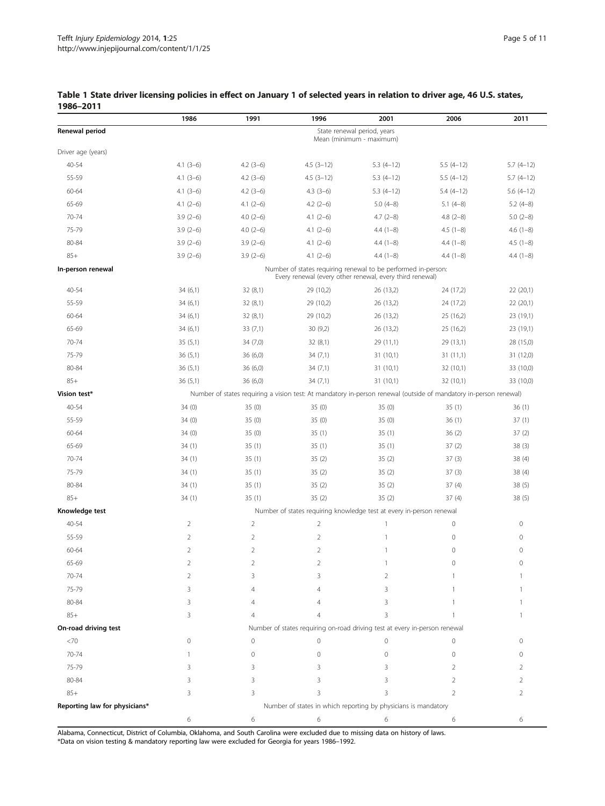|                               | 1986                                                                                                                      | 1991           | 1996                                                                                                              | 2001         | 2006         | 2011         |  |  |  |  |  |
|-------------------------------|---------------------------------------------------------------------------------------------------------------------------|----------------|-------------------------------------------------------------------------------------------------------------------|--------------|--------------|--------------|--|--|--|--|--|
| Renewal period                | State renewal period, years<br>Mean (minimum - maximum)                                                                   |                |                                                                                                                   |              |              |              |  |  |  |  |  |
| Driver age (years)            |                                                                                                                           |                |                                                                                                                   |              |              |              |  |  |  |  |  |
| 40-54                         | $4.1(3-6)$                                                                                                                | $4.2(3-6)$     | $4.5(3-12)$                                                                                                       | $5.3(4-12)$  | $5.5(4-12)$  | $5.7(4-12)$  |  |  |  |  |  |
| 55-59                         | $4.1(3-6)$                                                                                                                | $4.2(3-6)$     | $4.5(3-12)$                                                                                                       | $5.3(4-12)$  | $5.5(4-12)$  | $5.7(4-12)$  |  |  |  |  |  |
| 60-64                         | $4.1(3-6)$                                                                                                                | $4.2(3-6)$     | $4.3(3-6)$                                                                                                        | $5.3(4-12)$  | $5.4(4-12)$  | $5.6(4-12)$  |  |  |  |  |  |
| 65-69                         | $4.1(2-6)$                                                                                                                | $4.1(2-6)$     | $4.2$ (2-6)                                                                                                       | $5.0(4-8)$   | $5.1(4-8)$   | $5.2(4-8)$   |  |  |  |  |  |
| 70-74                         | $3.9(2-6)$                                                                                                                | $4.0(2-6)$     | $4.1(2-6)$                                                                                                        | $4.7(2-8)$   | $4.8(2-8)$   | $5.0(2-8)$   |  |  |  |  |  |
| 75-79                         | $3.9(2-6)$                                                                                                                | $4.0(2-6)$     | $4.1(2-6)$                                                                                                        | $4.4(1-8)$   | $4.5(1-8)$   | $4.6(1-8)$   |  |  |  |  |  |
| 80-84                         | $3.9(2-6)$                                                                                                                | $3.9(2-6)$     | $4.1(2-6)$                                                                                                        | $4.4(1-8)$   | $4.4(1-8)$   | $4.5(1-8)$   |  |  |  |  |  |
| $85+$                         | $3.9(2-6)$                                                                                                                | $3.9(2-6)$     | $4.1(2-6)$                                                                                                        | $4.4(1-8)$   | $4.4(1-8)$   | $4.4(1-8)$   |  |  |  |  |  |
| In-person renewal             | Number of states requiring renewal to be performed in-person:<br>Every renewal (every other renewal, every third renewal) |                |                                                                                                                   |              |              |              |  |  |  |  |  |
| 40-54                         | 34(6,1)                                                                                                                   | 32(8,1)        | 29 (10,2)                                                                                                         | 26 (13,2)    | 24 (17,2)    | 22(20,1)     |  |  |  |  |  |
| 55-59                         | 34(6,1)                                                                                                                   | 32(8,1)        | 29 (10,2)                                                                                                         | 26 (13,2)    | 24 (17,2)    | 22 (20,1)    |  |  |  |  |  |
| 60-64                         | 34(6,1)                                                                                                                   | 32(8,1)        | 29 (10,2)                                                                                                         | 26 (13,2)    | 25 (16,2)    | 23 (19,1)    |  |  |  |  |  |
| 65-69                         | 34(6,1)                                                                                                                   | 33(7,1)        | 30(9,2)                                                                                                           | 26 (13,2)    | 25 (16,2)    | 23 (19,1)    |  |  |  |  |  |
| 70-74                         | 35(5,1)                                                                                                                   | 34(7,0)        | 32(8,1)                                                                                                           | 29 (11,1)    | 29 (13,1)    | 28 (15,0)    |  |  |  |  |  |
| 75-79                         | 36(5,1)                                                                                                                   | 36(6,0)        | 34(7,1)                                                                                                           | 31(10,1)     | 31(11,1)     | 31 (12,0)    |  |  |  |  |  |
| 80-84                         | 36(5,1)                                                                                                                   | 36(6,0)        | 34(7,1)                                                                                                           | 31(10,1)     | 32 (10,1)    | 33 (10,0)    |  |  |  |  |  |
| $85+$                         | 36(5,1)                                                                                                                   | 36(6,0)        | 34(7,1)                                                                                                           | 31 (10,1)    | 32 (10,1)    | 33 (10,0)    |  |  |  |  |  |
| Vision test*                  |                                                                                                                           |                | Number of states requiring a vision test: At mandatory in-person renewal (outside of mandatory in-person renewal) |              |              |              |  |  |  |  |  |
| 40-54                         | 34(0)                                                                                                                     | 35(0)          | 35 (0)                                                                                                            | 35 (0)       | 35(1)        | 36(1)        |  |  |  |  |  |
| 55-59                         | 34(0)                                                                                                                     | 35(0)          | 35(0)                                                                                                             | 35(0)        | 36(1)        | 37(1)        |  |  |  |  |  |
| 60-64                         | 34(0)                                                                                                                     | 35(0)          | 35(1)                                                                                                             | 35(1)        | 36(2)        | 37(2)        |  |  |  |  |  |
| 65-69                         | 34(1)                                                                                                                     | 35(1)          | 35(1)                                                                                                             | 35(1)        | 37(2)        | 38(3)        |  |  |  |  |  |
| 70-74                         | 34(1)                                                                                                                     | 35(1)          | 35(2)                                                                                                             | 35(2)        | 37(3)        | 38(4)        |  |  |  |  |  |
| 75-79                         | 34(1)                                                                                                                     | 35(1)          | 35(2)                                                                                                             | 35(2)        | 37(3)        | 38 (4)       |  |  |  |  |  |
| 80-84                         | 34(1)                                                                                                                     | 35(1)          | 35(2)                                                                                                             | 35(2)        | 37(4)        | 38(5)        |  |  |  |  |  |
| $85+$                         | 34(1)                                                                                                                     | 35(1)          | 35(2)                                                                                                             | 35(2)        | 37(4)        | 38(5)        |  |  |  |  |  |
| Knowledge test                |                                                                                                                           |                | Number of states requiring knowledge test at every in-person renewal                                              |              |              |              |  |  |  |  |  |
| 40-54                         | $\overline{2}$                                                                                                            | $\overline{2}$ | $\overline{2}$                                                                                                    | 1            | $\circ$      | $\circ$      |  |  |  |  |  |
| 55-59                         | $\overline{2}$                                                                                                            | $\overline{2}$ | $\overline{2}$                                                                                                    | $\mathbf{1}$ | $\circ$      | $\circ$      |  |  |  |  |  |
| 60-64                         | $\overline{2}$                                                                                                            | $\overline{2}$ | $\overline{2}$                                                                                                    | $\mathbf{1}$ | $\circ$      | $\circ$      |  |  |  |  |  |
| 65-69                         | $\overline{2}$                                                                                                            | $\overline{2}$ | $\overline{2}$                                                                                                    | $\mathbf{1}$ | $\circ$      | $\circ$      |  |  |  |  |  |
| 70-74                         | 2                                                                                                                         | 3              | 3                                                                                                                 | 2            | $\mathbf{1}$ | $\mathbf{1}$ |  |  |  |  |  |
| 75-79                         | 3                                                                                                                         | 4              |                                                                                                                   | 3            |              |              |  |  |  |  |  |
| 80-84                         | 3                                                                                                                         | 4              | 4                                                                                                                 | 3            |              |              |  |  |  |  |  |
| $85+$                         | 3                                                                                                                         | 4              | 4                                                                                                                 | 3            |              |              |  |  |  |  |  |
| On-road driving test          |                                                                                                                           |                | Number of states requiring on-road driving test at every in-person renewal                                        |              |              |              |  |  |  |  |  |
| <70                           | $\mathbf{0}$                                                                                                              | $\mathbf 0$    | 0                                                                                                                 | $\mathbf 0$  | $\mathbf{0}$ | $\circ$      |  |  |  |  |  |
| 70-74                         |                                                                                                                           | $\mathbf 0$    | $\mathbf{0}$                                                                                                      | $\mathbf 0$  | $\Omega$     | 0            |  |  |  |  |  |
| 75-79                         | 3                                                                                                                         | 3              | 3                                                                                                                 | 3            | 2            | 2            |  |  |  |  |  |
| 80-84                         | 3                                                                                                                         | 3              | 3                                                                                                                 | 3            | 2            | 2            |  |  |  |  |  |
| $85+$                         | 3                                                                                                                         | 3              | 3                                                                                                                 | 3            | 2            | 2            |  |  |  |  |  |
| Reporting law for physicians* | Number of states in which reporting by physicians is mandatory                                                            |                |                                                                                                                   |              |              |              |  |  |  |  |  |
|                               | 6                                                                                                                         | 6              | 6                                                                                                                 | 6            | 6            | 6            |  |  |  |  |  |

#### <span id="page-4-0"></span>Table 1 State driver licensing policies in effect on January 1 of selected years in relation to driver age, 46 U.S. states, 1986–2011

Alabama, Connecticut, District of Columbia, Oklahoma, and South Carolina were excluded due to missing data on history of laws. \*Data on vision testing & mandatory reporting law were excluded for Georgia for years 1986–1992.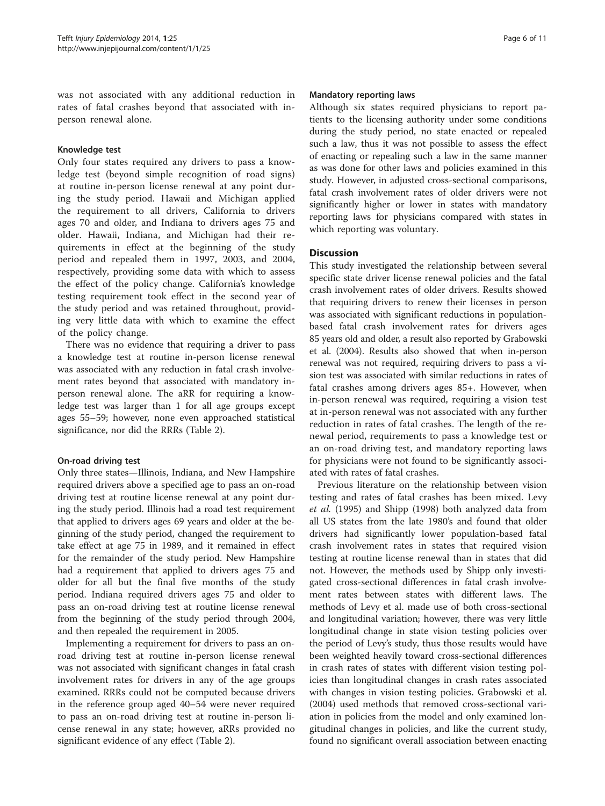was not associated with any additional reduction in rates of fatal crashes beyond that associated with inperson renewal alone.

### Knowledge test

Only four states required any drivers to pass a knowledge test (beyond simple recognition of road signs) at routine in-person license renewal at any point during the study period. Hawaii and Michigan applied the requirement to all drivers, California to drivers ages 70 and older, and Indiana to drivers ages 75 and older. Hawaii, Indiana, and Michigan had their requirements in effect at the beginning of the study period and repealed them in 1997, 2003, and 2004, respectively, providing some data with which to assess the effect of the policy change. California's knowledge testing requirement took effect in the second year of the study period and was retained throughout, providing very little data with which to examine the effect of the policy change.

There was no evidence that requiring a driver to pass a knowledge test at routine in-person license renewal was associated with any reduction in fatal crash involvement rates beyond that associated with mandatory inperson renewal alone. The aRR for requiring a knowledge test was larger than 1 for all age groups except ages 55–59; however, none even approached statistical significance, nor did the RRRs (Table [2](#page-6-0)).

#### On-road driving test

Only three states—Illinois, Indiana, and New Hampshire required drivers above a specified age to pass an on-road driving test at routine license renewal at any point during the study period. Illinois had a road test requirement that applied to drivers ages 69 years and older at the beginning of the study period, changed the requirement to take effect at age 75 in 1989, and it remained in effect for the remainder of the study period. New Hampshire had a requirement that applied to drivers ages 75 and older for all but the final five months of the study period. Indiana required drivers ages 75 and older to pass an on-road driving test at routine license renewal from the beginning of the study period through 2004, and then repealed the requirement in 2005.

Implementing a requirement for drivers to pass an onroad driving test at routine in-person license renewal was not associated with significant changes in fatal crash involvement rates for drivers in any of the age groups examined. RRRs could not be computed because drivers in the reference group aged 40–54 were never required to pass an on-road driving test at routine in-person license renewal in any state; however, aRRs provided no significant evidence of any effect (Table [2](#page-6-0)).

#### Mandatory reporting laws

Although six states required physicians to report patients to the licensing authority under some conditions during the study period, no state enacted or repealed such a law, thus it was not possible to assess the effect of enacting or repealing such a law in the same manner as was done for other laws and policies examined in this study. However, in adjusted cross-sectional comparisons, fatal crash involvement rates of older drivers were not significantly higher or lower in states with mandatory reporting laws for physicians compared with states in which reporting was voluntary.

## **Discussion**

This study investigated the relationship between several specific state driver license renewal policies and the fatal crash involvement rates of older drivers. Results showed that requiring drivers to renew their licenses in person was associated with significant reductions in populationbased fatal crash involvement rates for drivers ages 85 years old and older, a result also reported by Grabowski et al. [\(2004](#page-9-0)). Results also showed that when in-person renewal was not required, requiring drivers to pass a vision test was associated with similar reductions in rates of fatal crashes among drivers ages 85+. However, when in-person renewal was required, requiring a vision test at in-person renewal was not associated with any further reduction in rates of fatal crashes. The length of the renewal period, requirements to pass a knowledge test or an on-road driving test, and mandatory reporting laws for physicians were not found to be significantly associated with rates of fatal crashes.

Previous literature on the relationship between vision testing and rates of fatal crashes has been mixed. Levy et al. [\(1995\)](#page-9-0) and Shipp [\(1998\)](#page-10-0) both analyzed data from all US states from the late 1980's and found that older drivers had significantly lower population-based fatal crash involvement rates in states that required vision testing at routine license renewal than in states that did not. However, the methods used by Shipp only investigated cross-sectional differences in fatal crash involvement rates between states with different laws. The methods of Levy et al. made use of both cross-sectional and longitudinal variation; however, there was very little longitudinal change in state vision testing policies over the period of Levy's study, thus those results would have been weighted heavily toward cross-sectional differences in crash rates of states with different vision testing policies than longitudinal changes in crash rates associated with changes in vision testing policies. Grabowski et al. ([2004\)](#page-9-0) used methods that removed cross-sectional variation in policies from the model and only examined longitudinal changes in policies, and like the current study, found no significant overall association between enacting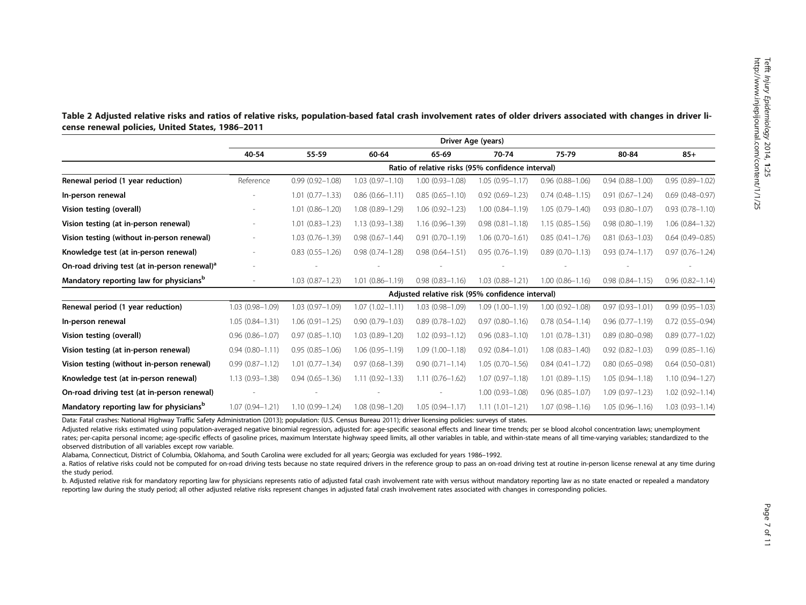|                                                          | Driver Age (years)                                |                        |                     |                     |                     |                        |                        |                     |  |  |  |  |
|----------------------------------------------------------|---------------------------------------------------|------------------------|---------------------|---------------------|---------------------|------------------------|------------------------|---------------------|--|--|--|--|
|                                                          | 40-54                                             | 55-59                  | 60-64               | 65-69               | 70-74               | 75-79                  | 80-84                  | $85+$               |  |  |  |  |
|                                                          | Ratio of relative risks (95% confidence interval) |                        |                     |                     |                     |                        |                        |                     |  |  |  |  |
| Renewal period (1 year reduction)                        | Reference                                         | $0.99(0.92 - 1.08)$    | $1.03(0.97 - 1.10)$ | $1.00(0.93 - 1.08)$ | $1.05(0.95 - 1.17)$ | $0.96(0.88 - 1.06)$    | $0.94(0.88 - 1.00)$    | $0.95(0.89 - 1.02)$ |  |  |  |  |
| In-person renewal                                        | $\overline{\phantom{a}}$                          | $1.01$ $(0.77 - 1.33)$ | $0.86(0.66 - 1.11)$ | $0.85(0.65 - 1.10)$ | $0.92(0.69 - 1.23)$ | $0.74(0.48 - 1.15)$    | $0.91(0.67 - 1.24)$    | $0.69$ (0.48-0.97)  |  |  |  |  |
| Vision testing (overall)                                 | $\overline{\phantom{a}}$                          | $1.01(0.86 - 1.20)$    | $1.08(0.89 - 1.29)$ | $1.06(0.92 - 1.23)$ | $1.00(0.84 - 1.19)$ | $1.05(0.79 - 1.40)$    | $0.93(0.80 - 1.07)$    | $0.93(0.78 - 1.10)$ |  |  |  |  |
| Vision testing (at in-person renewal)                    | $\overline{\phantom{a}}$                          | $1.01$ $(0.83 - 1.23)$ | $1.13(0.93 - 1.38)$ | $1.16(0.96 - 1.39)$ | $0.98(0.81 - 1.18)$ | $1.15(0.85 - 1.56)$    | $0.98(0.80 - 1.19)$    | $1.06(0.84 - 1.32)$ |  |  |  |  |
| Vision testing (without in-person renewal)               |                                                   | $1.03(0.76 - 1.39)$    | $0.98(0.67 - 1.44)$ | $0.91(0.70 - 1.19)$ | $1.06(0.70 - 1.61)$ | $0.85(0.41 - 1.76)$    | $0.81(0.63 - 1.03)$    | $0.64(0.49 - 0.85)$ |  |  |  |  |
| Knowledge test (at in-person renewal)                    |                                                   | $0.83(0.55 - 1.26)$    | $0.98(0.74 - 1.28)$ | $0.98(0.64 - 1.51)$ | $0.95(0.76 - 1.19)$ | $0.89(0.70 - 1.13)$    | $0.93(0.74 - 1.17)$    | $0.97(0.76 - 1.24)$ |  |  |  |  |
| On-road driving test (at in-person renewal) <sup>a</sup> |                                                   |                        |                     |                     |                     |                        |                        |                     |  |  |  |  |
| Mandatory reporting law for physicians <sup>b</sup>      | $\sim$                                            | $1.03(0.87 - 1.23)$    | $1.01(0.86 - 1.19)$ | $0.98(0.83 - 1.16)$ | $1.03(0.88 - 1.21)$ | $1.00(0.86 - 1.16)$    | $0.98(0.84 - 1.15)$    | $0.96(0.82 - 1.14)$ |  |  |  |  |
|                                                          | Adjusted relative risk (95% confidence interval)  |                        |                     |                     |                     |                        |                        |                     |  |  |  |  |
| Renewal period (1 year reduction)                        | $1.03(0.98 - 1.09)$                               | 1.03 (0.97-1.09)       | $1.07(1.02 - 1.11)$ | 1.03 (0.98-1.09)    | $1.09(1.00 - 1.19)$ | $1.00(0.92 - 1.08)$    | $0.97(0.93 - 1.01)$    | $0.99(0.95 - 1.03)$ |  |  |  |  |
| In-person renewal                                        | $1.05(0.84 - 1.31)$                               | $1.06(0.91 - 1.25)$    | $0.90(0.79 - 1.03)$ | $0.89(0.78 - 1.02)$ | $0.97(0.80 - 1.16)$ | $0.78(0.54 - 1.14)$    | $0.96$ $(0.77 - 1.19)$ | $0.72(0.55 - 0.94)$ |  |  |  |  |
| Vision testing (overall)                                 | $0.96(0.86 - 1.07)$                               | $0.97(0.85 - 1.10)$    | $1.03(0.89 - 1.20)$ | $1.02(0.93 - 1.12)$ | $0.96(0.83 - 1.10)$ | $1.01$ (0.78-1.31)     | $0.89$ $(0.80 - 0.98)$ | $0.89(0.77 - 1.02)$ |  |  |  |  |
| Vision testing (at in-person renewal)                    | $0.94(0.80 - 1.11)$                               | $0.95(0.85 - 1.06)$    | $1.06(0.95 - 1.19)$ | $1.09(1.00 - 1.18)$ | $0.92(0.84 - 1.01)$ | $1.08(0.83 - 1.40)$    | $0.92$ $(0.82 - 1.03)$ | $0.99(0.85 - 1.16)$ |  |  |  |  |
| Vision testing (without in-person renewal)               | $0.99(0.87 - 1.12)$                               | $1.01(0.77 - 1.34)$    | $0.97(0.68 - 1.39)$ | $0.90(0.71 - 1.14)$ | $1.05(0.70 - 1.56)$ | $0.84(0.41 - 1.72)$    | $0.80$ $(0.65 - 0.98)$ | $0.64(0.50 - 0.81)$ |  |  |  |  |
| Knowledge test (at in-person renewal)                    | $1.13(0.93 - 1.38)$                               | $0.94(0.65 - 1.36)$    | $1.11(0.92 - 1.33)$ | $1.11(0.76 - 1.62)$ | $1.07(0.97 - 1.18)$ | $1.01$ $(0.89 - 1.15)$ | $1.05(0.94 - 1.18)$    | 1.10 (0.94-1.27)    |  |  |  |  |
| On-road driving test (at in-person renewal)              |                                                   |                        |                     |                     | $1.00(0.93 - 1.08)$ | $0.96(0.85 - 1.07)$    | $1.09(0.97 - 1.23)$    | $1.02(0.92 - 1.14)$ |  |  |  |  |
| Mandatory reporting law for physicians <sup>b</sup>      | $1.07(0.94 - 1.21)$                               | 1.10 (0.99-1.24)       | $1.08(0.98 - 1.20)$ | $1.05(0.94 - 1.17)$ | $1.11(1.01 - 1.21)$ | $1.07(0.98 - 1.16)$    | $1.05(0.96 - 1.16)$    | $1.03(0.93 - 1.14)$ |  |  |  |  |

<span id="page-6-0"></span>Table 2 Adjusted relative risks and ratios of relative risks, population-based fatal crash involvement rates of older drivers associated with changes in driver license renewal policies, United States, 1986–2011

Data: Fatal crashes: National Highway Traffic Safety Administration [\(2013](#page-10-0)); population: (U.S. Census Bureau [2011\)](#page-10-0); driver licensing policies: surveys of states.

Adjusted relative risks estimated using population-averaged negative binomial regression, adjusted for: age-specific seasonal effects and linear time trends; per se blood alcohol concentration laws; unemployment rates; per-capita personal income; age-specific effects of gasoline prices, maximum Interstate highway speed limits, all other variables in table, and within-state means of all time-varying variables; standardized to the observed distribution of all variables except row variable.

Alabama, Connecticut, District of Columbia, Oklahoma, and South Carolina were excluded for all years; Georgia was excluded for years 1986–1992.

a. Ratios of relative risks could not be computed for on-road driving tests because no state required drivers in the reference group to pass an on-road driving test at routine in-person license renewal at any time during the study period.

b. Adjusted relative risk for mandatory reporting law for physicians represents ratio of adjusted fatal crash involvement rate with versus without mandatory reporting law as no state enacted or repealed a mandatory reporting law during the study period; all other adjusted relative risks represent changes in adjusted fatal crash involvement rates associated with changes in corresponding policies.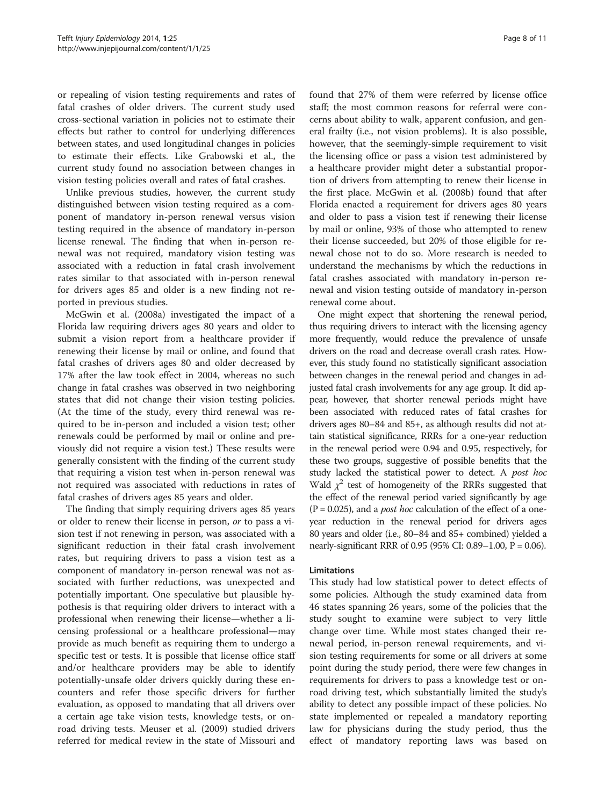or repealing of vision testing requirements and rates of fatal crashes of older drivers. The current study used cross-sectional variation in policies not to estimate their effects but rather to control for underlying differences between states, and used longitudinal changes in policies to estimate their effects. Like Grabowski et al., the current study found no association between changes in vision testing policies overall and rates of fatal crashes.

Unlike previous studies, however, the current study distinguished between vision testing required as a component of mandatory in-person renewal versus vision testing required in the absence of mandatory in-person license renewal. The finding that when in-person renewal was not required, mandatory vision testing was associated with a reduction in fatal crash involvement rates similar to that associated with in-person renewal for drivers ages 85 and older is a new finding not reported in previous studies.

McGwin et al. ([2008a\)](#page-9-0) investigated the impact of a Florida law requiring drivers ages 80 years and older to submit a vision report from a healthcare provider if renewing their license by mail or online, and found that fatal crashes of drivers ages 80 and older decreased by 17% after the law took effect in 2004, whereas no such change in fatal crashes was observed in two neighboring states that did not change their vision testing policies. (At the time of the study, every third renewal was required to be in-person and included a vision test; other renewals could be performed by mail or online and previously did not require a vision test.) These results were generally consistent with the finding of the current study that requiring a vision test when in-person renewal was not required was associated with reductions in rates of fatal crashes of drivers ages 85 years and older.

The finding that simply requiring drivers ages 85 years or older to renew their license in person, or to pass a vision test if not renewing in person, was associated with a significant reduction in their fatal crash involvement rates, but requiring drivers to pass a vision test as a component of mandatory in-person renewal was not associated with further reductions, was unexpected and potentially important. One speculative but plausible hypothesis is that requiring older drivers to interact with a professional when renewing their license—whether a licensing professional or a healthcare professional—may provide as much benefit as requiring them to undergo a specific test or tests. It is possible that license office staff and/or healthcare providers may be able to identify potentially-unsafe older drivers quickly during these encounters and refer those specific drivers for further evaluation, as opposed to mandating that all drivers over a certain age take vision tests, knowledge tests, or onroad driving tests. Meuser et al. [\(2009](#page-9-0)) studied drivers referred for medical review in the state of Missouri and

found that 27% of them were referred by license office staff; the most common reasons for referral were concerns about ability to walk, apparent confusion, and general frailty (i.e., not vision problems). It is also possible, however, that the seemingly-simple requirement to visit the licensing office or pass a vision test administered by a healthcare provider might deter a substantial proportion of drivers from attempting to renew their license in the first place. McGwin et al. ([2008b\)](#page-9-0) found that after Florida enacted a requirement for drivers ages 80 years and older to pass a vision test if renewing their license by mail or online, 93% of those who attempted to renew their license succeeded, but 20% of those eligible for renewal chose not to do so. More research is needed to understand the mechanisms by which the reductions in fatal crashes associated with mandatory in-person renewal and vision testing outside of mandatory in-person renewal come about.

One might expect that shortening the renewal period, thus requiring drivers to interact with the licensing agency more frequently, would reduce the prevalence of unsafe drivers on the road and decrease overall crash rates. However, this study found no statistically significant association between changes in the renewal period and changes in adjusted fatal crash involvements for any age group. It did appear, however, that shorter renewal periods might have been associated with reduced rates of fatal crashes for drivers ages 80–84 and 85+, as although results did not attain statistical significance, RRRs for a one-year reduction in the renewal period were 0.94 and 0.95, respectively, for these two groups, suggestive of possible benefits that the study lacked the statistical power to detect. A post hoc Wald  $\chi^2$  test of homogeneity of the RRRs suggested that the effect of the renewal period varied significantly by age  $(P = 0.025)$ , and a *post hoc* calculation of the effect of a oneyear reduction in the renewal period for drivers ages 80 years and older (i.e., 80–84 and 85+ combined) yielded a nearly-significant RRR of 0.95 (95% CI: 0.89–1.00, P = 0.06).

#### Limitations

This study had low statistical power to detect effects of some policies. Although the study examined data from 46 states spanning 26 years, some of the policies that the study sought to examine were subject to very little change over time. While most states changed their renewal period, in-person renewal requirements, and vision testing requirements for some or all drivers at some point during the study period, there were few changes in requirements for drivers to pass a knowledge test or onroad driving test, which substantially limited the study's ability to detect any possible impact of these policies. No state implemented or repealed a mandatory reporting law for physicians during the study period, thus the effect of mandatory reporting laws was based on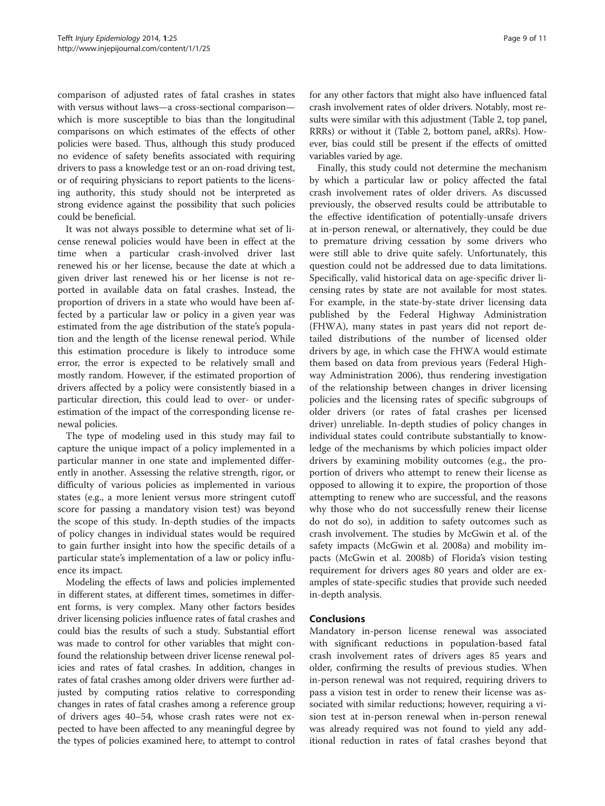comparison of adjusted rates of fatal crashes in states with versus without laws—a cross-sectional comparison which is more susceptible to bias than the longitudinal comparisons on which estimates of the effects of other policies were based. Thus, although this study produced no evidence of safety benefits associated with requiring drivers to pass a knowledge test or an on-road driving test, or of requiring physicians to report patients to the licensing authority, this study should not be interpreted as strong evidence against the possibility that such policies could be beneficial.

It was not always possible to determine what set of license renewal policies would have been in effect at the time when a particular crash-involved driver last renewed his or her license, because the date at which a given driver last renewed his or her license is not reported in available data on fatal crashes. Instead, the proportion of drivers in a state who would have been affected by a particular law or policy in a given year was estimated from the age distribution of the state's population and the length of the license renewal period. While this estimation procedure is likely to introduce some error, the error is expected to be relatively small and mostly random. However, if the estimated proportion of drivers affected by a policy were consistently biased in a particular direction, this could lead to over- or underestimation of the impact of the corresponding license renewal policies.

The type of modeling used in this study may fail to capture the unique impact of a policy implemented in a particular manner in one state and implemented differently in another. Assessing the relative strength, rigor, or difficulty of various policies as implemented in various states (e.g., a more lenient versus more stringent cutoff score for passing a mandatory vision test) was beyond the scope of this study. In-depth studies of the impacts of policy changes in individual states would be required to gain further insight into how the specific details of a particular state's implementation of a law or policy influence its impact.

Modeling the effects of laws and policies implemented in different states, at different times, sometimes in different forms, is very complex. Many other factors besides driver licensing policies influence rates of fatal crashes and could bias the results of such a study. Substantial effort was made to control for other variables that might confound the relationship between driver license renewal policies and rates of fatal crashes. In addition, changes in rates of fatal crashes among older drivers were further adjusted by computing ratios relative to corresponding changes in rates of fatal crashes among a reference group of drivers ages 40–54, whose crash rates were not expected to have been affected to any meaningful degree by the types of policies examined here, to attempt to control for any other factors that might also have influenced fatal crash involvement rates of older drivers. Notably, most results were similar with this adjustment (Table [2](#page-6-0), top panel, RRRs) or without it (Table [2,](#page-6-0) bottom panel, aRRs). However, bias could still be present if the effects of omitted variables varied by age.

Finally, this study could not determine the mechanism by which a particular law or policy affected the fatal crash involvement rates of older drivers. As discussed previously, the observed results could be attributable to the effective identification of potentially-unsafe drivers at in-person renewal, or alternatively, they could be due to premature driving cessation by some drivers who were still able to drive quite safely. Unfortunately, this question could not be addressed due to data limitations. Specifically, valid historical data on age-specific driver licensing rates by state are not available for most states. For example, in the state-by-state driver licensing data published by the Federal Highway Administration (FHWA), many states in past years did not report detailed distributions of the number of licensed older drivers by age, in which case the FHWA would estimate them based on data from previous years (Federal Highway Administration [2006](#page-9-0)), thus rendering investigation of the relationship between changes in driver licensing policies and the licensing rates of specific subgroups of older drivers (or rates of fatal crashes per licensed driver) unreliable. In-depth studies of policy changes in individual states could contribute substantially to knowledge of the mechanisms by which policies impact older drivers by examining mobility outcomes (e.g., the proportion of drivers who attempt to renew their license as opposed to allowing it to expire, the proportion of those attempting to renew who are successful, and the reasons why those who do not successfully renew their license do not do so), in addition to safety outcomes such as crash involvement. The studies by McGwin et al. of the safety impacts (McGwin et al. [2008a\)](#page-9-0) and mobility impacts (McGwin et al. [2008b](#page-9-0)) of Florida's vision testing requirement for drivers ages 80 years and older are examples of state-specific studies that provide such needed in-depth analysis.

## Conclusions

Mandatory in-person license renewal was associated with significant reductions in population-based fatal crash involvement rates of drivers ages 85 years and older, confirming the results of previous studies. When in-person renewal was not required, requiring drivers to pass a vision test in order to renew their license was associated with similar reductions; however, requiring a vision test at in-person renewal when in-person renewal was already required was not found to yield any additional reduction in rates of fatal crashes beyond that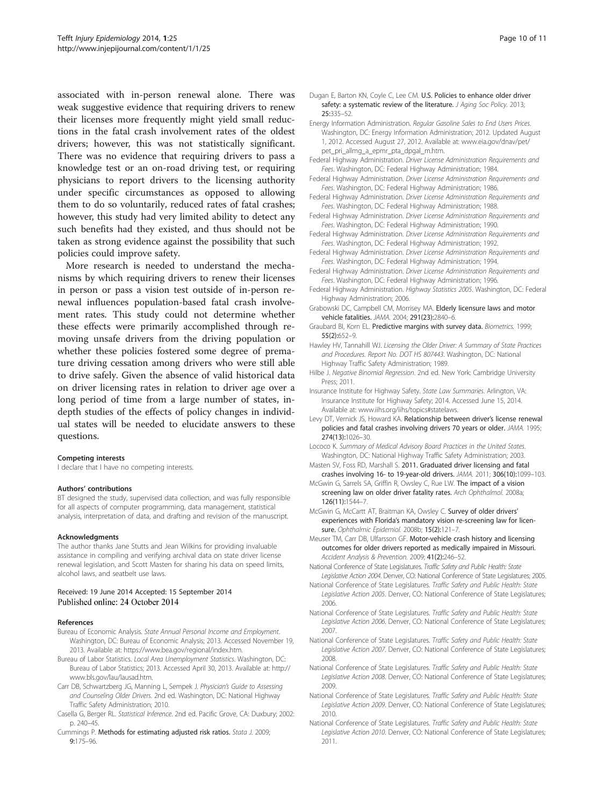<span id="page-9-0"></span>associated with in-person renewal alone. There was weak suggestive evidence that requiring drivers to renew their licenses more frequently might yield small reductions in the fatal crash involvement rates of the oldest drivers; however, this was not statistically significant. There was no evidence that requiring drivers to pass a knowledge test or an on-road driving test, or requiring physicians to report drivers to the licensing authority under specific circumstances as opposed to allowing them to do so voluntarily, reduced rates of fatal crashes; however, this study had very limited ability to detect any such benefits had they existed, and thus should not be taken as strong evidence against the possibility that such policies could improve safety.

More research is needed to understand the mechanisms by which requiring drivers to renew their licenses in person or pass a vision test outside of in-person renewal influences population-based fatal crash involvement rates. This study could not determine whether these effects were primarily accomplished through removing unsafe drivers from the driving population or whether these policies fostered some degree of premature driving cessation among drivers who were still able to drive safely. Given the absence of valid historical data on driver licensing rates in relation to driver age over a long period of time from a large number of states, indepth studies of the effects of policy changes in individual states will be needed to elucidate answers to these questions.

#### Competing interests

I declare that I have no competing interests.

#### Authors' contributions

BT designed the study, supervised data collection, and was fully responsible for all aspects of computer programming, data management, statistical analysis, interpretation of data, and drafting and revision of the manuscript.

#### Acknowledgments

The author thanks Jane Stutts and Jean Wilkins for providing invaluable assistance in compiling and verifying archival data on state driver license renewal legislation, and Scott Masten for sharing his data on speed limits, alcohol laws, and seatbelt use laws.

#### Received: 19 June 2014 Accepted: 15 September 2014 Published online: 24 October 2014

#### References

- Bureau of Economic Analysis. State Annual Personal Income and Employment. Washington, DC: Bureau of Economic Analysis; 2013. Accessed November 19, 2013. Available at: [https://www.bea.gov/regional/index.htm.](https://www.bea.gov/regional/index.htm)
- Bureau of Labor Statistics. Local Area Unemployment Statistics. Washington, DC: Bureau of Labor Statistics; 2013. Accessed April 30, 2013. Available at: [http://](http://www.bls.gov/lau/lausad.htm) [www.bls.gov/lau/lausad.htm](http://www.bls.gov/lau/lausad.htm).
- Carr DB, Schwartzberg JG, Manning L, Sempek J. Physician's Guide to Assessing and Counseling Older Drivers. 2nd ed. Washington, DC: National Highway Traffic Safety Administration; 2010.
- Casella G, Berger RL. Statistical Inference. 2nd ed. Pacific Grove, CA: Duxbury; 2002: p. 240–45.
- Cummings P. Methods for estimating adjusted risk ratios. Stata J. 2009; 9:175–96.
- Dugan E, Barton KN, Coyle C, Lee CM. U.S. Policies to enhance older driver safety: a systematic review of the literature. J Aging Soc Policy. 2013; 25:335–52.
- Energy Information Administration. Regular Gasoline Sales to End Users Prices. Washington, DC: Energy Information Administration; 2012. Updated August 1, 2012. Accessed August 27, 2012. Available at: [www.eia.gov/dnav/pet/](http://www.eia.gov/dnav/pet/pet_pri_allmg_a_epmr_pta_dpgal_m.htm) [pet\\_pri\\_allmg\\_a\\_epmr\\_pta\\_dpgal\\_m.htm.](http://www.eia.gov/dnav/pet/pet_pri_allmg_a_epmr_pta_dpgal_m.htm)
- Federal Highway Administration. Driver License Administration Requirements and Fees. Washington, DC: Federal Highway Administration; 1984.
- Federal Highway Administration. Driver License Administration Requirements and Fees. Washington, DC: Federal Highway Administration; 1986.
- Federal Highway Administration. Driver License Administration Requirements and Fees. Washington, DC: Federal Highway Administration; 1988.
- Federal Highway Administration. Driver License Administration Requirements and Fees. Washington, DC: Federal Highway Administration; 1990.
- Federal Highway Administration. Driver License Administration Requirements and Fees. Washington, DC: Federal Highway Administration; 1992.
- Federal Highway Administration. Driver License Administration Requirements and Fees. Washington, DC: Federal Highway Administration; 1994.
- Federal Highway Administration. Driver License Administration Requirements and Fees. Washington, DC: Federal Highway Administration; 1996.
- Federal Highway Administration. Highway Statistics 2005. Washington, DC: Federal Highway Administration; 2006.
- Grabowski DC, Campbell CM, Morrisey MA. Elderly licensure laws and motor vehicle fatalities. JAMA. 2004; 291(23):2840–6.
- Graubard BI, Korn EL. Predictive margins with survey data. Biometrics. 1999; 55(2):652–9.
- Hawley HV, Tannahill WJ. Licensing the Older Driver: A Summary of State Practices and Procedures. Report No. DOT HS 807443. Washington, DC: National Highway Traffic Safety Administration; 1989.
- Hilbe J. Negative Binomial Regression. 2nd ed. New York: Cambridge University Press; 2011.
- Insurance Institute for Highway Safety. State Law Summaries. Arlington, VA: Insurance Institute for Highway Safety; 2014. Accessed June 15, 2014. Available at: [www.iihs.org/iihs/topics#statelaws](http://www.iihs.org/iihs/topics#statelaws).
- Levy DT, Vernick JS, Howard KA. Relationship between driver's license renewal policies and fatal crashes involving drivers 70 years or older. JAMA. 1995; 274(13):1026–30.
- Lococo K. Summary of Medical Advisory Board Practices in the United States. Washington, DC: National Highway Traffic Safety Administration; 2003.
- Masten SV, Foss RD, Marshall S. 2011. Graduated driver licensing and fatal crashes involving 16- to 19-year-old drivers. JAMA. 2011; 306(10):1099–103.
- McGwin G, Sarrels SA, Griffin R, Owsley C, Rue LW. The impact of a vision screening law on older driver fatality rates. Arch Ophthalmol. 2008a; 126(11):1544–7.
- McGwin G, McCartt AT, Braitman KA, Owsley C. Survey of older drivers' experiences with Florida's mandatory vision re-screening law for licensure. Ophthalmic Epidemiol. 2008b; 15(2):121–7.
- Meuser TM, Carr DB, Ulfarsson GF. Motor-vehicle crash history and licensing outcomes for older drivers reported as medically impaired in Missouri. Accident Analysis & Prevention. 2009; 41(2):246–52.
- National Conference of State Legislatures. Traffic Safety and Public Health: State Legislative Action 2004. Denver, CO: National Conference of State Legislatures; 2005.
- National Conference of State Legislatures. Traffic Safety and Public Health: State Legislative Action 2005. Denver, CO: National Conference of State Legislatures; 2006.
- National Conference of State Legislatures. Traffic Safety and Public Health: State Legislative Action 2006. Denver, CO: National Conference of State Legislatures; 2007.
- National Conference of State Legislatures. Traffic Safety and Public Health: State Legislative Action 2007. Denver, CO: National Conference of State Legislatures; 2008.
- National Conference of State Legislatures. Traffic Safety and Public Health: State Legislative Action 2008. Denver, CO: National Conference of State Legislatures; 2009.
- National Conference of State Legislatures. Traffic Safety and Public Health: State Legislative Action 2009. Denver, CO: National Conference of State Legislatures; 2010.
- National Conference of State Legislatures. Traffic Safety and Public Health: State Legislative Action 2010. Denver, CO: National Conference of State Legislatures; 2011.